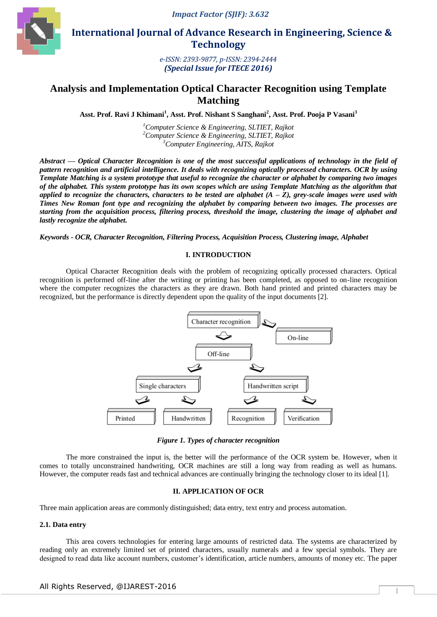*Impact Factor (SJIF): 3.632*



 **International Journal of Advance Research in Engineering, Science & Technology** 

> *e-ISSN: 2393-9877, p-ISSN: 2394-2444 (Special Issue for ITECE 2016)*

# **Analysis and Implementation Optical Character Recognition using Template Matching**

**Asst. Prof. Ravi J Khimani<sup>1</sup> , Asst. Prof. Nishant S Sanghani<sup>2</sup> , Asst. Prof. Pooja P Vasani<sup>3</sup>**

*<sup>1</sup>Computer Science & Engineering, SLTIET, Rajkot <sup>2</sup>Computer Science & Engineering, SLTIET, Rajkot <sup>3</sup>Computer Engineering, AITS, Rajkot*

*Abstract — Optical Character Recognition is one of the most successful applications of technology in the field of pattern recognition and artificial intelligence. It deals with recognizing optically processed characters. OCR by using Template Matching is a system prototype that useful to recognize the character or alphabet by comparing two images of the alphabet. This system prototype has its own scopes which are using Template Matching as the algorithm that applied to recognize the characters, characters to be tested are alphabet*  $(A - Z)$ , grey-scale *images were used with Times New Roman font type and recognizing the alphabet by comparing between two images. The processes are starting from the acquisition process, filtering process, threshold the image, clustering the image of alphabet and lastly recognize the alphabet.*

*Keywords - OCR, Character Recognition, Filtering Process, Acquisition Process, Clustering image, Alphabet*

## **I. INTRODUCTION**

Optical Character Recognition deals with the problem of recognizing optically processed characters. Optical recognition is performed off-line after the writing or printing has been completed, as opposed to on-line recognition where the computer recognizes the characters as they are drawn. Both hand printed and printed characters may be recognized, but the performance is directly dependent upon the quality of the input documents [2].



*Figure 1. Types of character recognition*

The more constrained the input is, the better will the performance of the OCR system be. However, when it comes to totally unconstrained handwriting, OCR machines are still a long way from reading as well as humans. However, the computer reads fast and technical advances are continually bringing the technology closer to its ideal [1].

### **II. APPLICATION OF OCR**

Three main application areas are commonly distinguished; data entry, text entry and process automation.

# **2.1. Data entry**

This area covers technologies for entering large amounts of restricted data. The systems are characterized by reading only an extremely limited set of printed characters, usually numerals and a few special symbols. They are designed to read data like account numbers, customer's identification, article numbers, amounts of money etc. The paper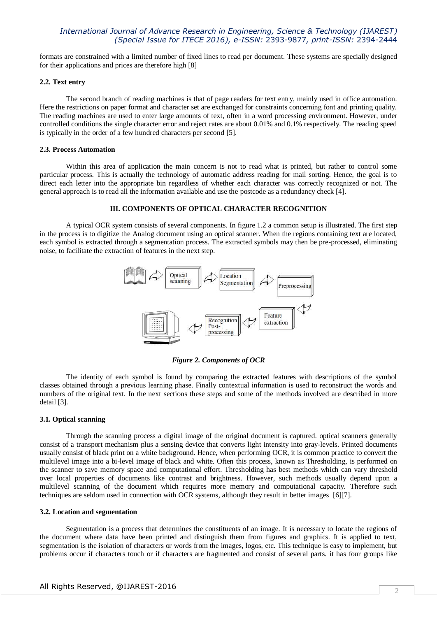formats are constrained with a limited number of fixed lines to read per document. These systems are specially designed for their applications and prices are therefore high [8]

### **2.2. Text entry**

The second branch of reading machines is that of page readers for text entry, mainly used in office automation. Here the restrictions on paper format and character set are exchanged for constraints concerning font and printing quality. The reading machines are used to enter large amounts of text, often in a word processing environment. However, under controlled conditions the single character error and reject rates are about 0.01% and 0.1% respectively. The reading speed is typically in the order of a few hundred characters per second [5].

#### **2.3. Process Automation**

Within this area of application the main concern is not to read what is printed, but rather to control some particular process. This is actually the technology of automatic address reading for mail sorting. Hence, the goal is to direct each letter into the appropriate bin regardless of whether each character was correctly recognized or not. The general approach is to read all the information available and use the postcode as a redundancy check [4].

### **III. COMPONENTS OF OPTICAL CHARACTER RECOGNITION**

A typical OCR system consists of several components. In figure 1.2 a common setup is illustrated. The first step in the process is to digitize the Analog document using an optical scanner. When the regions containing text are located, each symbol is extracted through a segmentation process. The extracted symbols may then be pre-processed, eliminating noise, to facilitate the extraction of features in the next step.



*Figure 2. Components of OCR*

The identity of each symbol is found by comparing the extracted features with descriptions of the symbol classes obtained through a previous learning phase. Finally contextual information is used to reconstruct the words and numbers of the original text. In the next sections these steps and some of the methods involved are described in more detail [3].

#### **3.1. Optical scanning**

Through the scanning process a digital image of the original document is captured. optical scanners generally consist of a transport mechanism plus a sensing device that converts light intensity into gray-levels. Printed documents usually consist of black print on a white background. Hence, when performing OCR, it is common practice to convert the multilevel image into a bi-level image of black and white. Often this process, known as Thresholding, is performed on the scanner to save memory space and computational effort. Thresholding has best methods which can vary threshold over local properties of documents like contrast and brightness. However, such methods usually depend upon a multilevel scanning of the document which requires more memory and computational capacity. Therefore such techniques are seldom used in connection with OCR systems, although they result in better images [6][7].

#### **3.2. Location and segmentation**

Segmentation is a process that determines the constituents of an image. It is necessary to locate the regions of the document where data have been printed and distinguish them from figures and graphics. It is applied to text, segmentation is the isolation of characters or words from the images, logos, etc. This technique is easy to implement, but problems occur if characters touch or if characters are fragmented and consist of several parts. it has four groups like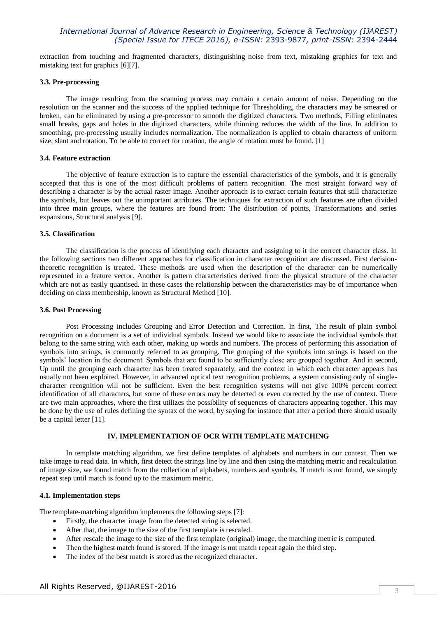extraction from touching and fragmented characters, distinguishing noise from text, mistaking graphics for text and mistaking text for graphics [6][7].

#### **3.3. Pre-processing**

The image resulting from the scanning process may contain a certain amount of noise. Depending on the resolution on the scanner and the success of the applied technique for Thresholding, the characters may be smeared or broken, can be eliminated by using a pre-processor to smooth the digitized characters. Two methods, Filling eliminates small breaks, gaps and holes in the digitized characters, while thinning reduces the width of the line. In addition to smoothing, pre-processing usually includes normalization. The normalization is applied to obtain characters of uniform size, slant and rotation. To be able to correct for rotation, the angle of rotation must be found. [1]

### **3.4. Feature extraction**

The objective of feature extraction is to capture the essential characteristics of the symbols, and it is generally accepted that this is one of the most difficult problems of pattern recognition. The most straight forward way of describing a character is by the actual raster image. Another approach is to extract certain features that still characterize the symbols, but leaves out the unimportant attributes. The techniques for extraction of such features are often divided into three main groups, where the features are found from: The distribution of points, Transformations and series expansions, Structural analysis [9].

#### **3.5. Classification**

The classification is the process of identifying each character and assigning to it the correct character class. In the following sections two different approaches for classification in character recognition are discussed. First decisiontheoretic recognition is treated. These methods are used when the description of the character can be numerically represented in a feature vector. Another is pattern characteristics derived from the physical structure of the character which are not as easily quantised. In these cases the relationship between the characteristics may be of importance when deciding on class membership, known as Structural Method [10].

#### **3.6. Post Processing**

Post Processing includes Grouping and Error Detection and Correction. In first, The result of plain symbol recognition on a document is a set of individual symbols. Instead we would like to associate the individual symbols that belong to the same string with each other, making up words and numbers. The process of performing this association of symbols into strings, is commonly referred to as grouping. The grouping of the symbols into strings is based on the symbols' location in the document. Symbols that are found to be sufficiently close are grouped together. And in second, Up until the grouping each character has been treated separately, and the context in which each character appears has usually not been exploited. However, in advanced optical text recognition problems, a system consisting only of singlecharacter recognition will not be sufficient. Even the best recognition systems will not give 100% percent correct identification of all characters, but some of these errors may be detected or even corrected by the use of context. There are two main approaches, where the first utilizes the possibility of sequences of characters appearing together. This may be done by the use of rules defining the syntax of the word, by saying for instance that after a period there should usually be a capital letter [11].

# **IV. IMPLEMENTATION OF OCR WITH TEMPLATE MATCHING**

In template matching algorithm, we first define templates of alphabets and numbers in our context. Then we take image to read data. In which, first detect the strings line by line and then using the matching metric and recalculation of image size, we found match from the collection of alphabets, numbers and symbols. If match is not found, we simply repeat step until match is found up to the maximum metric.

# **4.1. Implementation steps**

The template-matching algorithm implements the following steps [7]:

- Firstly, the character image from the detected string is selected.
- After that, the image to the size of the first template is rescaled.
- After rescale the image to the size of the first template (original) image, the matching metric is computed.
- Then the highest match found is stored. If the image is not match repeat again the third step.
- The index of the best match is stored as the recognized character.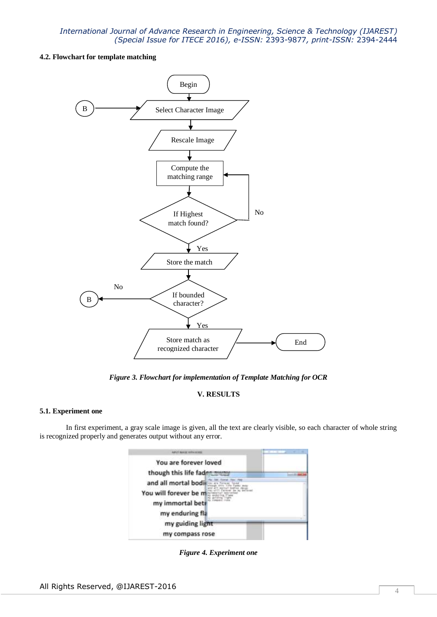# **4.2. Flowchart for template matching**



*Figure 3. Flowchart for implementation of Template Matching for OCR*

# **V. RESULTS**

# **5.1. Experiment one**

In first experiment, a gray scale image is given, all the text are clearly visible, so each character of whole string is recognized properly and generates output without any error.

| Admirt Society stationscoped                                                        |  |
|-------------------------------------------------------------------------------------|--|
| You are forever loved                                                               |  |
| though this life fadm                                                               |  |
| and all mortal bodi<br>You will forever be m<br>my immortal bett<br>my enduring fla |  |
| my guiding light<br>my compass rose                                                 |  |

*Figure 4. Experiment one*